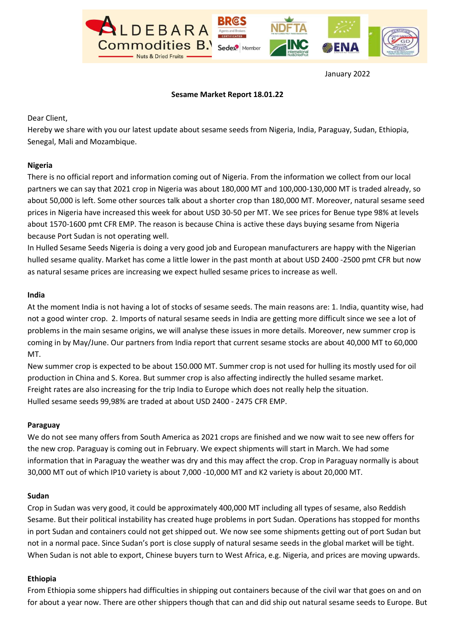

January 2022

## Sesame Market Report 18.01.22

## Dear Client,

Hereby we share with you our latest update about sesame seeds from Nigeria, India, Paraguay, Sudan, Ethiopia, Senegal, Mali and Mozambique.

## Nigeria

There is no official report and information coming out of Nigeria. From the information we collect from our local partners we can say that 2021 crop in Nigeria was about 180,000 MT and 100,000-130,000 MT is traded already, so about 50,000 is left. Some other sources talk about a shorter crop than 180,000 MT. Moreover, natural sesame seed prices in Nigeria have increased this week for about USD 30-50 per MT. We see prices for Benue type 98% at levels about 1570-1600 pmt CFR EMP. The reason is because China is active these days buying sesame from Nigeria because Port Sudan is not operating well.

In Hulled Sesame Seeds Nigeria is doing a very good job and European manufacturers are happy with the Nigerian hulled sesame quality. Market has come a little lower in the past month at about USD 2400 -2500 pmt CFR but now as natural sesame prices are increasing we expect hulled sesame prices to increase as well.

## India

At the moment India is not having a lot of stocks of sesame seeds. The main reasons are: 1. India, quantity wise, had not a good winter crop. 2. Imports of natural sesame seeds in India are getting more difficult since we see a lot of problems in the main sesame origins, we will analyse these issues in more details. Moreover, new summer crop is coming in by May/June. Our partners from India report that current sesame stocks are about 40,000 MT to 60,000 MT.

New summer crop is expected to be about 150.000 MT. Summer crop is not used for hulling its mostly used for oil production in China and S. Korea. But summer crop is also affecting indirectly the hulled sesame market. Freight rates are also increasing for the trip India to Europe which does not really help the situation. Hulled sesame seeds 99,98% are traded at about USD 2400 - 2475 CFR EMP.

#### Paraguay

We do not see many offers from South America as 2021 crops are finished and we now wait to see new offers for the new crop. Paraguay is coming out in February. We expect shipments will start in March. We had some information that in Paraguay the weather was dry and this may affect the crop. Crop in Paraguay normally is about 30,000 MT out of which IP10 variety is about 7,000 -10,000 MT and K2 variety is about 20,000 MT.

## Sudan

Crop in Sudan was very good, it could be approximately 400,000 MT including all types of sesame, also Reddish Sesame. But their political instability has created huge problems in port Sudan. Operations has stopped for months in port Sudan and containers could not get shipped out. We now see some shipments getting out of port Sudan but not in a normal pace. Since Sudan's port is close supply of natural sesame seeds in the global market will be tight. When Sudan is not able to export, Chinese buyers turn to West Africa, e.g. Nigeria, and prices are moving upwards.

#### Ethiopia

From Ethiopia some shippers had difficulties in shipping out containers because of the civil war that goes on and on for about a year now. There are other shippers though that can and did ship out natural sesame seeds to Europe. But